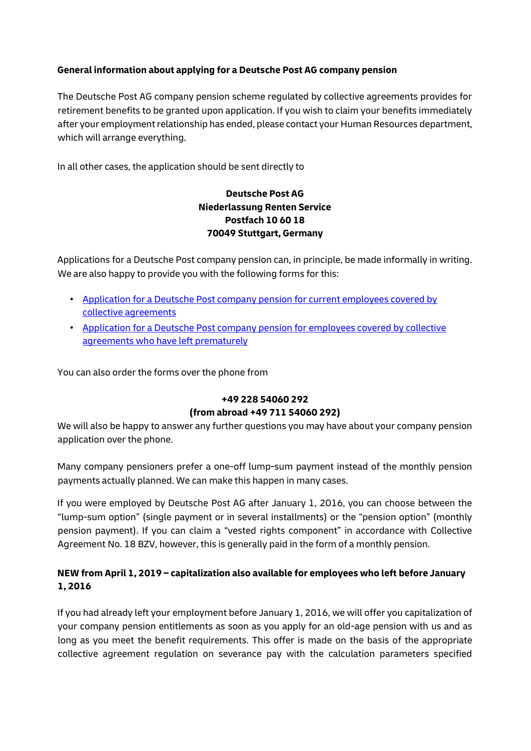## **General information about applying for a Deutsche Post AG company pension**

The Deutsche Post AG company pension scheme regulated by collective agreements provides for retirement benefits to be granted upon application. If you wish to claim your benefits immediately after your employment relationship has ended, please contact your Human Resources department, which will arrange everything.

In all other cases, the application should be sent directly to

## **Deutsche Post AG Niederlassung Renten Service Postfach 10 60 18 70049 Stuttgart, Germany**

Applications for a Deutsche Post company pension can, in principle, be made informally in writing. We are also happy to provide you with the following forms for this:

- [Application for a Deutsche Post company pension for current employees covered by](https://www.deutschepost.de/content/dam/dpag/images/R_r/Rentenservice/downloads/dp-rentenservice-antrag-betriebsrente-post-aktive-092020.pdf)  [collective agreements](https://www.deutschepost.de/content/dam/dpag/images/R_r/Rentenservice/downloads/dp-rentenservice-antrag-betriebsrente-post-aktive-092020.pdf)
- [Application for a Deutsche Post company pension for employees covered by collective](https://www.deutschepost.de/content/dam/dpag/images/R_r/Rentenservice/downloads/dp-rentenservice-antrag-betriebsrente-post-vorzeitig-ausgeschiedene.pdf)  [agreements who have left prematurely](https://www.deutschepost.de/content/dam/dpag/images/R_r/Rentenservice/downloads/dp-rentenservice-antrag-betriebsrente-post-vorzeitig-ausgeschiedene.pdf)

You can also order the forms over the phone from

## **+49 228 54060 292 (from abroad +49 711 54060 292)**

We will also be happy to answer any further questions you may have about your company pension application over the phone.

Many company pensioners prefer a one-off lump-sum payment instead of the monthly pension payments actually planned. We can make this happen in many cases.

If you were employed by Deutsche Post AG after January 1, 2016, you can choose between the "lump-sum option" (single payment or in several installments) or the "pension option" (monthly pension payment). If you can claim a "vested rights component" in accordance with Collective Agreement No. 18 BZV, however, this is generally paid in the form of a monthly pension.

## **NEW from April 1, 2019 – capitalization also available for employees who left before January 1, 2016**

If you had already left your employment before January 1, 2016, we will offer you capitalization of your company pension entitlements as soon as you apply for an old-age pension with us and as long as you meet the benefit requirements. This offer is made on the basis of the appropriate collective agreement regulation on severance pay with the calculation parameters specified